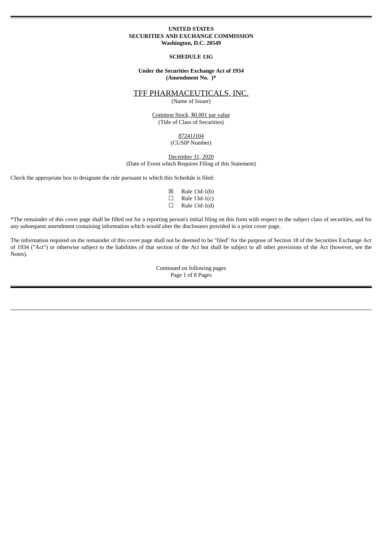### **UNITED STATES SECURITIES AND EXCHANGE COMMISSION Washington, D.C. 20549**

#### **SCHEDULE 13G**

**Under the Securities Exchange Act of 1934 (Amendment No. )\***

### TFF PHARMACEUTICALS, INC.

(Name of Issuer)

Common Stock, \$0.001 par value (Title of Class of Securities)

### 87241J104 (CUSIP Number)

December 31, 2020 (Date of Event which Requires Filing of this Statement)

Check the appropriate box to designate the rule pursuant to which this Schedule is filed:

| ⊠                        | Rule 13d-1(b) |
|--------------------------|---------------|
| □                        | Rule 13d-1(c) |
| $\overline{\phantom{0}}$ | - - ------    |

 $\Box$  Rule 13d-1(d)

\*The remainder of this cover page shall be filled out for a reporting person's initial filing on this form with respect to the subject class of securities, and for any subsequent amendment containing information which would alter the disclosures provided in a prior cover page.

The information required on the remainder of this cover page shall not be deemed to be "filed" for the purpose of Section 18 of the Securities Exchange Act of 1934 ("Act") or otherwise subject to the liabilities of that section of the Act but shall be subject to all other provisions of the Act (however, see the Notes).

> Continued on following pages Page 1 of 8 Pages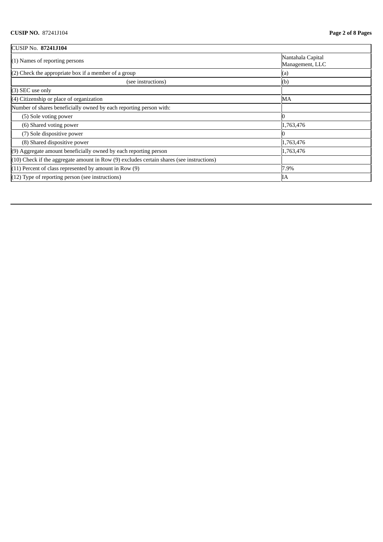| CUSIP No. 87241J104                                                                          |                                      |  |  |
|----------------------------------------------------------------------------------------------|--------------------------------------|--|--|
| $(1)$ Names of reporting persons                                                             | Nantahala Capital<br>Management, LLC |  |  |
| $(2)$ Check the appropriate box if a member of a group                                       | (a)                                  |  |  |
| (see instructions)                                                                           | (b)                                  |  |  |
| $(3)$ SEC use only                                                                           |                                      |  |  |
| (4) Citizenship or place of organization                                                     | MA                                   |  |  |
| Number of shares beneficially owned by each reporting person with:                           |                                      |  |  |
| (5) Sole voting power                                                                        |                                      |  |  |
| (6) Shared voting power                                                                      | 1,763,476                            |  |  |
| (7) Sole dispositive power                                                                   |                                      |  |  |
| (8) Shared dispositive power                                                                 | 1,763,476                            |  |  |
| (9) Aggregate amount beneficially owned by each reporting person                             | 1,763,476                            |  |  |
| $(10)$ Check if the aggregate amount in Row $(9)$ excludes certain shares (see instructions) |                                      |  |  |
| $(11)$ Percent of class represented by amount in Row $(9)$                                   | 7.9%                                 |  |  |
| $(12)$ Type of reporting person (see instructions)                                           | IΑ                                   |  |  |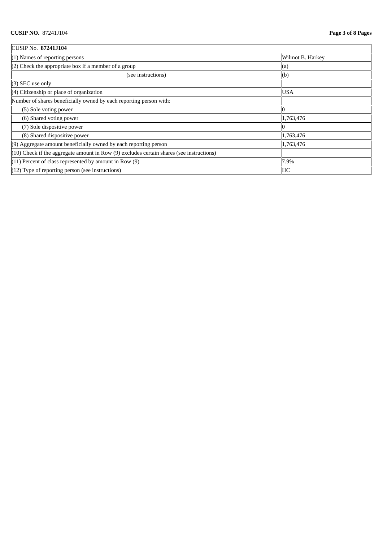| CUSIP No. 87241J104                                                                          |                  |  |  |  |
|----------------------------------------------------------------------------------------------|------------------|--|--|--|
| $(1)$ Names of reporting persons                                                             | Wilmot B. Harkey |  |  |  |
| $(2)$ Check the appropriate box if a member of a group                                       | (a)              |  |  |  |
| (see instructions)                                                                           | (b)              |  |  |  |
| (3) SEC use only                                                                             |                  |  |  |  |
| (4) Citizenship or place of organization                                                     | <b>USA</b>       |  |  |  |
| Number of shares beneficially owned by each reporting person with:                           |                  |  |  |  |
| (5) Sole voting power                                                                        |                  |  |  |  |
| (6) Shared voting power                                                                      | 1,763,476        |  |  |  |
| (7) Sole dispositive power                                                                   |                  |  |  |  |
| (8) Shared dispositive power                                                                 | 1,763,476        |  |  |  |
| (9) Aggregate amount beneficially owned by each reporting person                             | 1,763,476        |  |  |  |
| $(10)$ Check if the aggregate amount in Row $(9)$ excludes certain shares (see instructions) |                  |  |  |  |
| $(11)$ Percent of class represented by amount in Row $(9)$                                   | 7.9%             |  |  |  |
| (12) Type of reporting person (see instructions)                                             | HC               |  |  |  |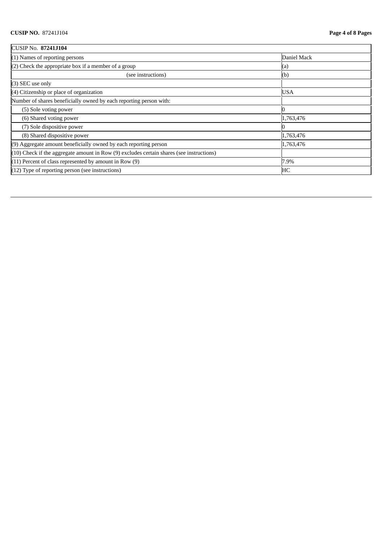| CUSIP No. 87241J104                                                                          |             |  |  |  |
|----------------------------------------------------------------------------------------------|-------------|--|--|--|
| $(1)$ Names of reporting persons                                                             | Daniel Mack |  |  |  |
| $(2)$ Check the appropriate box if a member of a group                                       | (a)         |  |  |  |
| (see instructions)                                                                           | (b)         |  |  |  |
| (3) SEC use only                                                                             |             |  |  |  |
| (4) Citizenship or place of organization                                                     | <b>USA</b>  |  |  |  |
| Number of shares beneficially owned by each reporting person with:                           |             |  |  |  |
| (5) Sole voting power                                                                        |             |  |  |  |
| (6) Shared voting power                                                                      | 1,763,476   |  |  |  |
| (7) Sole dispositive power                                                                   |             |  |  |  |
| (8) Shared dispositive power                                                                 | 1,763,476   |  |  |  |
| $(9)$ Aggregate amount beneficially owned by each reporting person                           | 1,763,476   |  |  |  |
| $(10)$ Check if the aggregate amount in Row $(9)$ excludes certain shares (see instructions) |             |  |  |  |
| $(11)$ Percent of class represented by amount in Row $(9)$                                   | 7.9%        |  |  |  |
| $(12)$ Type of reporting person (see instructions)                                           | HC          |  |  |  |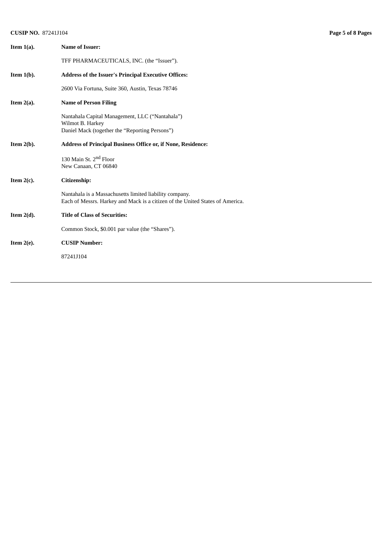# **CUSIP NO.** 87241J104 **Page 5 of 8 Pages**

| Item $1(a)$ . | <b>Name of Issuer:</b>                                                                                                                   |
|---------------|------------------------------------------------------------------------------------------------------------------------------------------|
|               | TFF PHARMACEUTICALS, INC. (the "Issuer").                                                                                                |
| Item $1(b)$ . | <b>Address of the Issuer's Principal Executive Offices:</b>                                                                              |
|               | 2600 Via Fortuna, Suite 360, Austin, Texas 78746                                                                                         |
| Item $2(a)$ . | <b>Name of Person Filing</b>                                                                                                             |
|               | Nantahala Capital Management, LLC ("Nantahala")                                                                                          |
|               | Wilmot B. Harkey<br>Daniel Mack (together the "Reporting Persons")                                                                       |
| Item $2(b)$ . | Address of Principal Business Office or, if None, Residence:                                                                             |
|               | 130 Main St. 2 <sup>nd</sup> Floor<br>New Canaan, CT 06840                                                                               |
| Item $2(c)$ . | Citizenship:                                                                                                                             |
|               | Nantahala is a Massachusetts limited liability company.<br>Each of Messrs. Harkey and Mack is a citizen of the United States of America. |
| Item $2(d)$ . | <b>Title of Class of Securities:</b>                                                                                                     |
|               | Common Stock, \$0.001 par value (the "Shares").                                                                                          |
| Item $2(e)$ . | <b>CUSIP Number:</b>                                                                                                                     |
|               | 87241J104                                                                                                                                |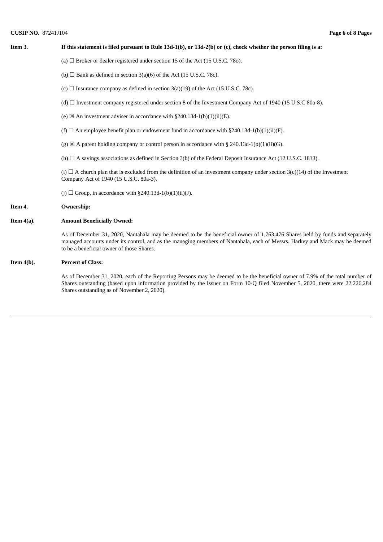# **CUSIP NO.** 87241J104 **Page 6 of 8 Pages**

| Item 3.       | If this statement is filed pursuant to Rule $13d-1(b)$ , or $13d-2(b)$ or (c), check whether the person filing is a:                                                                                                                                                                                     |
|---------------|----------------------------------------------------------------------------------------------------------------------------------------------------------------------------------------------------------------------------------------------------------------------------------------------------------|
|               | (a) $\Box$ Broker or dealer registered under section 15 of the Act (15 U.S.C. 780).                                                                                                                                                                                                                      |
|               | (b) $\Box$ Bank as defined in section 3(a)(6) of the Act (15 U.S.C. 78c).                                                                                                                                                                                                                                |
|               | (c) $\Box$ Insurance company as defined in section 3(a)(19) of the Act (15 U.S.C. 78c).                                                                                                                                                                                                                  |
|               | (d) $\Box$ Investment company registered under section 8 of the Investment Company Act of 1940 (15 U.S.C 80a-8).                                                                                                                                                                                         |
|               | (e) $\boxtimes$ An investment adviser in accordance with §240.13d-1(b)(1)(ii)(E).                                                                                                                                                                                                                        |
|               | (f) $\Box$ An employee benefit plan or endowment fund in accordance with §240.13d-1(b)(1)(ii)(F).                                                                                                                                                                                                        |
|               | (g) $\boxtimes$ A parent holding company or control person in accordance with § 240.13d-1(b)(1)(ii)(G).                                                                                                                                                                                                  |
|               | (h) $\Box$ A savings associations as defined in Section 3(b) of the Federal Deposit Insurance Act (12 U.S.C. 1813).                                                                                                                                                                                      |
|               | (i) $\Box$ A church plan that is excluded from the definition of an investment company under section 3(c)(14) of the Investment<br>Company Act of 1940 (15 U.S.C. 80a-3).                                                                                                                                |
|               | (j) $\Box$ Group, in accordance with §240.13d-1(b)(1)(ii)(J).                                                                                                                                                                                                                                            |
| Item 4.       | <b>Ownership:</b>                                                                                                                                                                                                                                                                                        |
| Item $4(a)$ . | <b>Amount Beneficially Owned:</b>                                                                                                                                                                                                                                                                        |
|               | As of December 31, 2020, Nantahala may be deemed to be the beneficial owner of 1,763,476 Shares held by funds and separately<br>managed accounts under its control, and as the managing members of Nantahala, each of Messrs. Harkey and Mack may be deemed<br>to be a beneficial owner of those Shares. |
| Item $4(b)$ . | <b>Percent of Class:</b>                                                                                                                                                                                                                                                                                 |
|               | As of December 31, 2020, each of the Reporting Persons may be deemed to be the beneficial owner of 7.9% of the total number of<br>Shares outstanding (based upon information provided by the Issuer on Form 10-Q filed November 5, 2020, there were 22,226,284                                           |

Shares outstanding as of November 2, 2020).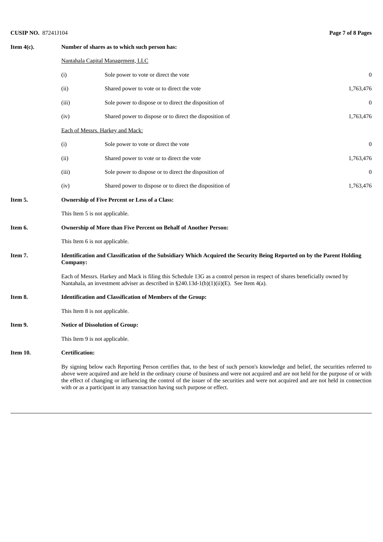# **CUSIP NO.** 87241J104 **Page 7 of 8 Pages**

| Item $4(c)$ . | Number of shares as to which such person has:                                                                                                                                                                          |                                                                                                                                                                                                                                                                                                                                                                                                                                                                                                       |           |  |  |
|---------------|------------------------------------------------------------------------------------------------------------------------------------------------------------------------------------------------------------------------|-------------------------------------------------------------------------------------------------------------------------------------------------------------------------------------------------------------------------------------------------------------------------------------------------------------------------------------------------------------------------------------------------------------------------------------------------------------------------------------------------------|-----------|--|--|
|               |                                                                                                                                                                                                                        | Nantahala Capital Management, LLC                                                                                                                                                                                                                                                                                                                                                                                                                                                                     |           |  |  |
|               | (i)                                                                                                                                                                                                                    | Sole power to vote or direct the vote                                                                                                                                                                                                                                                                                                                                                                                                                                                                 | 0         |  |  |
|               | (ii)                                                                                                                                                                                                                   | Shared power to vote or to direct the vote                                                                                                                                                                                                                                                                                                                                                                                                                                                            | 1,763,476 |  |  |
|               | (iii)                                                                                                                                                                                                                  | Sole power to dispose or to direct the disposition of                                                                                                                                                                                                                                                                                                                                                                                                                                                 | 0         |  |  |
|               | (iv)                                                                                                                                                                                                                   | Shared power to dispose or to direct the disposition of                                                                                                                                                                                                                                                                                                                                                                                                                                               | 1,763,476 |  |  |
|               |                                                                                                                                                                                                                        | Each of Messrs. Harkey and Mack:                                                                                                                                                                                                                                                                                                                                                                                                                                                                      |           |  |  |
|               | (i)                                                                                                                                                                                                                    | Sole power to vote or direct the vote                                                                                                                                                                                                                                                                                                                                                                                                                                                                 | 0         |  |  |
|               | (ii)                                                                                                                                                                                                                   | Shared power to vote or to direct the vote                                                                                                                                                                                                                                                                                                                                                                                                                                                            | 1,763,476 |  |  |
|               | (iii)                                                                                                                                                                                                                  | Sole power to dispose or to direct the disposition of                                                                                                                                                                                                                                                                                                                                                                                                                                                 | 0         |  |  |
|               | (iv)                                                                                                                                                                                                                   | Shared power to dispose or to direct the disposition of                                                                                                                                                                                                                                                                                                                                                                                                                                               | 1,763,476 |  |  |
| Item 5.       |                                                                                                                                                                                                                        | <b>Ownership of Five Percent or Less of a Class:</b>                                                                                                                                                                                                                                                                                                                                                                                                                                                  |           |  |  |
|               | This Item 5 is not applicable.                                                                                                                                                                                         |                                                                                                                                                                                                                                                                                                                                                                                                                                                                                                       |           |  |  |
| Item 6.       |                                                                                                                                                                                                                        | <b>Ownership of More than Five Percent on Behalf of Another Person:</b>                                                                                                                                                                                                                                                                                                                                                                                                                               |           |  |  |
|               | This Item 6 is not applicable.                                                                                                                                                                                         |                                                                                                                                                                                                                                                                                                                                                                                                                                                                                                       |           |  |  |
| Item 7.       | Identification and Classification of the Subsidiary Which Acquired the Security Being Reported on by the Parent Holding<br>Company:                                                                                    |                                                                                                                                                                                                                                                                                                                                                                                                                                                                                                       |           |  |  |
|               | Each of Messrs. Harkey and Mack is filing this Schedule 13G as a control person in respect of shares beneficially owned by<br>Nantahala, an investment adviser as described in §240.13d-1(b)(1)(ii)(E). See Item 4(a). |                                                                                                                                                                                                                                                                                                                                                                                                                                                                                                       |           |  |  |
| Item 8.       | <b>Identification and Classification of Members of the Group:</b>                                                                                                                                                      |                                                                                                                                                                                                                                                                                                                                                                                                                                                                                                       |           |  |  |
|               | This Item 8 is not applicable.                                                                                                                                                                                         |                                                                                                                                                                                                                                                                                                                                                                                                                                                                                                       |           |  |  |
| Item 9.       |                                                                                                                                                                                                                        | <b>Notice of Dissolution of Group:</b>                                                                                                                                                                                                                                                                                                                                                                                                                                                                |           |  |  |
|               | This Item 9 is not applicable.                                                                                                                                                                                         |                                                                                                                                                                                                                                                                                                                                                                                                                                                                                                       |           |  |  |
| Item 10.      | <b>Certification:</b>                                                                                                                                                                                                  |                                                                                                                                                                                                                                                                                                                                                                                                                                                                                                       |           |  |  |
|               |                                                                                                                                                                                                                        | By signing below each Reporting Person certifies that, to the best of such person's knowledge and belief, the securities referred to<br>above were acquired and are held in the ordinary course of business and were not acquired and are not held for the purpose of or with<br>the effect of changing or influencing the control of the issuer of the securities and were not acquired and are not held in connection<br>with or as a participant in any transaction having such purpose or effect. |           |  |  |